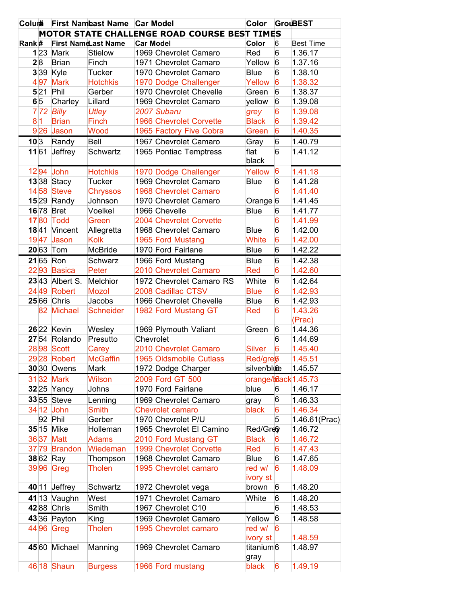|       |      |                         | Colum First Nameast Name Car Model |                                              | Color                 |   | <b>GrouBEST</b>  |
|-------|------|-------------------------|------------------------------------|----------------------------------------------|-----------------------|---|------------------|
|       |      |                         |                                    | MOTOR STATE CHALLENGE ROAD COURSE BEST TIMES |                       |   |                  |
| Rank# |      |                         | <b>First NameLast Name</b>         | <b>Car Model</b>                             | Color                 | 6 | <b>Best Time</b> |
|       |      | $1 23 $ Mark            | <b>Stielow</b>                     | 1969 Chevrolet Camaro                        | Red                   | 6 | 1.36.17          |
|       | 28   | <b>Brian</b>            | Finch                              | 1971 Chevrolet Camaro                        | Yellow                | 6 | 1.37.16          |
|       |      | $3 39 $ Kyle            | Tucker                             | 1970 Chevrolet Camaro                        | <b>Blue</b>           | 6 | 1.38.10          |
|       | 497  | <b>Mark</b>             | <b>Hotchkis</b>                    | 1970 Dodge Challenger                        | Yellow                | 6 | 1.38.32          |
|       |      | $5 21 $ Phil            | Gerber                             | 1970 Chevrolet Chevelle                      | Green                 | 6 | 1.38.37          |
|       | 6 5  | Charley                 | Lillard                            | 1969 Chevrolet Camaro                        | yellow                | 6 | 1.39.08          |
|       |      | $7$ 72 Billy            | Utley                              | 2007 Subaru                                  | grey                  | 6 | 1.39.08          |
|       | 8 1  | <b>Brian</b>            | Finch                              | 1966 Chevrolet Corvette                      | <b>Black</b>          | 6 | 1.39.42          |
|       |      | 926 Jason               | Wood                               | 1965 Factory Five Cobra                      | Green                 | 6 | 1.40.35          |
|       | 10 3 | Randy                   | Bell                               | 1967 Chevrolet Camaro                        | Gray                  | 6 | 1.40.79          |
|       |      | $11 61$ Jeffrey         | Schwartz                           | 1965 Pontiac Temptress                       | flat                  | 6 | 1.41.12          |
|       |      |                         |                                    |                                              | black                 |   |                  |
|       |      | 1294 John               | <b>Hotchkis</b>                    | 1970 Dodge Challenger                        | Yellow                | 6 | 1.41.18          |
|       |      | $13 38 $ Stacy          | Tucker                             | 1969 Chevrolet Camaro                        | <b>Blue</b>           | 6 | 1.41.28          |
|       |      | <b>14 58 Steve</b>      | <b>Chryssos</b>                    | 1968 Chevrolet Camaro                        |                       | 6 | 1.41.40          |
|       |      | $15$ 29 Randy           | Johnson                            | 1970 Chevrolet Camaro                        | Orange $ 6$           |   | 1.41.45          |
|       |      | 16 78 Bret              | Voelkel                            | 1966 Chevelle                                | <b>Blue</b>           | 6 | 1.41.77          |
|       |      | <b>17 80 Todd</b>       | Green                              | 2004 Chevrolet Corvette                      |                       | 6 | 1.41.99          |
|       |      | 1841 Vincent            | Allegretta                         | 1968 Chevrolet Camaro                        | <b>Blue</b>           | 6 | 1.42.00          |
|       |      | 1947 Jason              | <b>Kolk</b>                        | 1965 Ford Mustang                            | <b>White</b>          | 6 | 1.42.00          |
|       |      | 20 63 Tom               | <b>McBride</b>                     | 1970 Ford Fairlane                           | <b>Blue</b>           | 6 | 1.42.22          |
|       |      | 21 65 Ron               | Schwarz                            | 1966 Ford Mustang                            | <b>Blue</b>           | 6 | 1.42.38          |
|       |      | 2293 Basica             | Peter                              | 2010 Chevrolet Camaro                        | Red                   | 6 | 1.42.60          |
|       |      | $23 43$ Albert S.       | Melchior                           | 1972 Chevrolet Camaro RS                     | White                 | 6 | 1.42.64          |
|       |      | 24 49 Robert            | <b>Mozol</b>                       | 2008 Cadillac CTSV                           | <b>Blue</b>           | 6 | 1.42.93          |
|       |      | 25 66 Chris             | Jacobs                             | 1966 Chevrolet Chevelle                      | <b>Blue</b>           | 6 | 1.42.93          |
|       |      | 82 Michael              | <b>Schneider</b>                   | 1982 Ford Mustang GT                         | Red                   | 6 | 1.43.26          |
|       |      |                         |                                    |                                              |                       |   | (Prac)           |
|       |      | <b>26</b> 22 Kevin      | Wesley                             | 1969 Plymouth Valiant                        | Green                 | 6 | 1.44.36          |
|       |      | 2754 Rolando            | Presutto                           | Chevrolet                                    |                       | 6 | 1.44.69          |
|       |      | 2898 Scott              | Carey                              | 2010 Chevrolet Camaro                        | <b>Silver</b>         | 6 | 1.45.40          |
|       |      | 29 <sub>28</sub> Robert | <b>McGaffin</b>                    | 1965 Oldsmobile Cutlass                      | Red/greß              |   | 1.45.51          |
|       |      | <b>30</b> 30 Owens      | Mark                               | 1972 Dodge Charger                           | silver/blice          |   | 1.45.57          |
|       |      | 31 32 Mark              | <b>Wilson</b>                      | 2009 Ford GT 500                             | orange/back 1.45.73   |   |                  |
|       |      | $32 25 $ Yancy          | Johns                              | 1970 Ford Fairlane                           | blue                  | 6 | 1.46.17          |
|       |      | <b>33</b> 55 Steve      | Lenning                            | 1969 Chevrolet Camaro                        | gray                  | 6 | 1.46.33          |
|       |      | 34 12 John              | Smith                              | <b>Chevrolet camaro</b>                      | black                 | 6 | 1.46.34          |
|       |      | 92 Phil                 | Gerber                             | 1970 Chevrolet P/U                           |                       | 5 | 1.46.61(Prac)    |
|       |      | 35 15 Mike              | Holleman                           | 1965 Chevrolet El Camino                     | Red/Gre               |   | 1.46.72          |
|       |      | 36 37 Matt              | <b>Adams</b>                       | 2010 Ford Mustang GT                         | <b>Black</b>          | 6 | 1.46.72          |
|       |      | 37 79 Brandon           | Wiedeman                           | 1999 Chevrolet Corvette                      | Red                   | 6 | 1.47.43          |
|       |      | $38 62 $ Ray            | Thompson                           | 1968 Chevrolet Camaro                        | <b>Blue</b>           | 6 | 1.47.65          |
|       |      | 3996 Greg               | Tholen                             | 1995 Chevrolet camaro                        | red w/                | 6 | 1.48.09          |
|       |      |                         |                                    |                                              | ivory st              |   |                  |
|       |      | $40$   11   Jeffrey     | Schwartz                           | 1972 Chevrolet vega                          | brown                 | 6 | 1.48.20          |
|       |      | 41 13 Vaughn            | West                               | 1971 Chevrolet Camaro                        | White                 | 6 | 1.48.20          |
|       |      | 4288 Chris              | Smith                              | 1967 Chevrolet C10                           |                       | 6 | 1.48.53          |
|       |      | 4336 Payton             | King                               | 1969 Chevrolet Camaro                        | Yellow                | 6 | 1.48.58          |
|       |      | 44 96 Greg              | <b>Tholen</b>                      | 1995 Chevrolet camaro                        | red w/                | 6 |                  |
|       |      |                         |                                    |                                              | ivory st              |   | 1.48.59          |
|       |      | 45 60 Michael           | Manning                            | 1969 Chevrolet Camaro                        | titanium <sup>6</sup> |   | 1.48.97          |
|       |      |                         |                                    |                                              | gray                  |   |                  |
|       |      | 46 18 Shaun             | <b>Burgess</b>                     | 1966 Ford mustang                            | black                 | 6 | 1.49.19          |